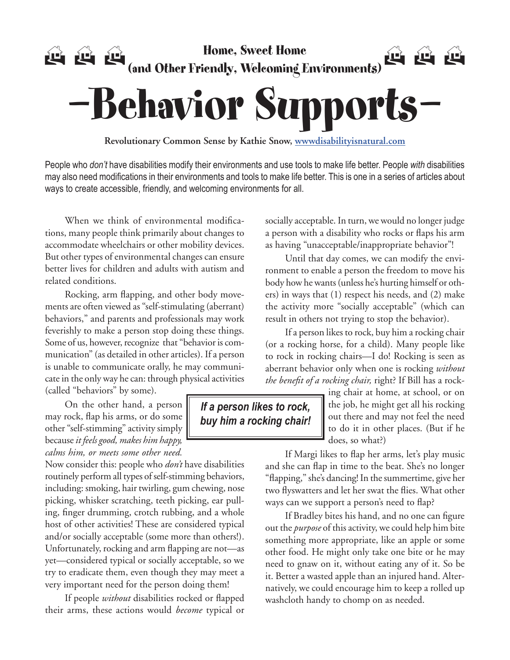

## —Behavior Supports—

**Revolutionary Common Sense by Kathie Snow, wwwdisabilityisnatural.com**

People who *don't* have disabilities modify their environments and use tools to make life better. People *with* disabilities may also need modifications in their environments and tools to make life better. This is one in a series of articles about ways to create accessible, friendly, and welcoming environments for all.

*buy him a rocking chair!*

When we think of environmental modifications, many people think primarily about changes to accommodate wheelchairs or other mobility devices. But other types of environmental changes can ensure better lives for children and adults with autism and related conditions.

Rocking, arm flapping, and other body movements are often viewed as "self-stimulating (aberrant) behaviors," and parents and professionals may work feverishly to make a person stop doing these things. Some of us, however, recognize that "behavior is communication" (as detailed in other articles). If a person is unable to communicate orally, he may communicate in the only way he can: through physical activities

(called "behaviors" by some).

On the other hand, a person may rock, flap his arms, or do some other "self-stimming" activity simply because *it feels good, makes him happy, calms him, or meets some other need.*

Now consider this: people who *don't* have disabilities routinely perform all types of self-stimming behaviors, including: smoking, hair twirling, gum chewing, nose picking, whisker scratching, teeth picking, ear pulling, finger drumming, crotch rubbing, and a whole host of other activities! These are considered typical and/or socially acceptable (some more than others!). Unfortunately, rocking and arm flapping are not—as yet—considered typical or socially acceptable, so we try to eradicate them, even though they may meet a very important need for the person doing them!

If people *without* disabilities rocked or flapped their arms, these actions would *become* typical or

(or a rocking horse, for a child). Many people like to rock in rocking chairs—I do! Rocking is seen as

> ing chair at home, at school, or on the job, he might get all his rocking out there and may not feel the need to do it in other places. (But if he does, so what?)

If Margi likes to flap her arms, let's play music and she can flap in time to the beat. She's no longer "flapping," she's dancing! In the summertime, give her two flyswatters and let her swat the flies. What other ways can we support a person's need to flap?

socially acceptable. In turn, we would no longer judge a person with a disability who rocks or flaps his arm as having "unacceptable/inappropriate behavior"!

Until that day comes, we can modify the environment to enable a person the freedom to move his body how he wants (unless he's hurting himself or others) in ways that (1) respect his needs, and (2) make the activity more "socially acceptable" (which can result in others not trying to stop the behavior).

If a person likes to rock, buy him a rocking chair

If Bradley bites his hand, and no one can figure out the *purpose* of this activity, we could help him bite something more appropriate, like an apple or some other food. He might only take one bite or he may need to gnaw on it, without eating any of it. So be it. Better a wasted apple than an injured hand. Alternatively, we could encourage him to keep a rolled up washcloth handy to chomp on as needed.

aberrant behavior only when one is rocking *without the benefit of a rocking chair,* right? If Bill has a rock-*If a person likes to rock,*